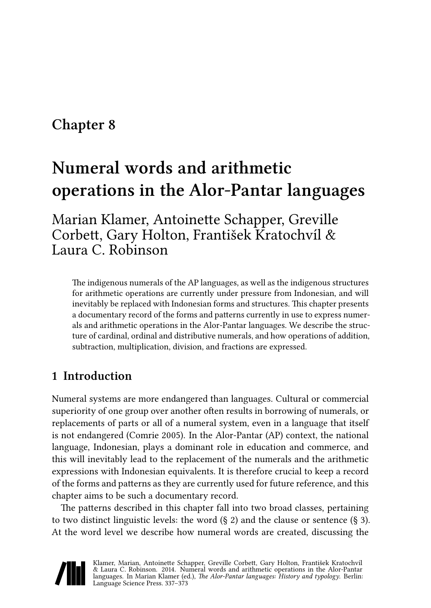## **Chapter 8**

# **Numeral words and arithmetic operations in the Alor-Pantar languages**

Marian Klamer, Antoinette Schapper, Greville Corbett, Gary Holton, František Kratochvíl & Laura C. Robinson

The indigenous numerals of the AP languages, as well as the indigenous structures for arithmetic operations are currently under pressure from Indonesian, and will inevitably be replaced with Indonesian forms and structures. This chapter presents a documentary record of the forms and patterns currently in use to express numerals and arithmetic operations in the Alor-Pantar languages. We describe the structure of cardinal, ordinal and distributive numerals, and how operations of addition, subtraction, multiplication, division, and fractions are expressed.

## **1 Introduction**

Numeral systems are more endangered than languages. Cultural or commercial superiority of one group over another often results in borrowing of numerals, or replacements of parts or all of a numeral system, even in a language that itself is not endangered([Comrie 2005\)](#page-35-0). In the Alor-Pantar (AP) context, the national language, Indonesian, plays a dominant role in education and commerce, and this will inevitably lead to the replacement of the numerals and the arithmetic expressions with Indonesian equivalents. It is therefore crucial to keep a record of the forms and patterns as they are currently used for future reference, and this chapter aims to be such a documentary record.

The patterns described in this chapter fall into two broad classes, pertaining to two distinct linguistic levels: the word  $(\S 2)$  $(\S 2)$  and the clause or sentence  $(\S 3)$  $(\S 3)$  $(\S 3)$ . At the word level we describe how numeral words are created, discussing the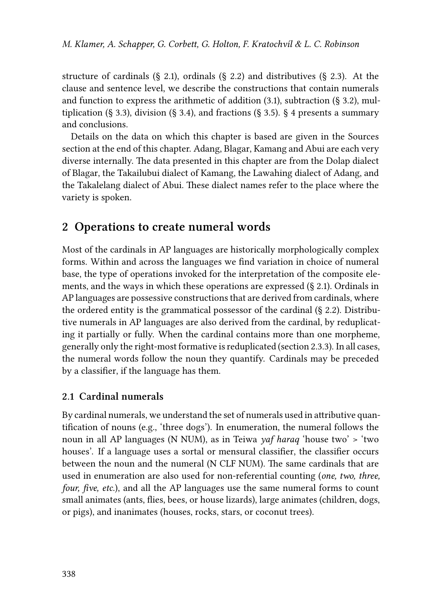structure of cardinals  $(\S$  [2.1\)](#page-1-1), ordinals  $(\S$  [2.2](#page-4-0)) and distributives  $(\S$  [2.3](#page-8-0)). At the clause and sentence level, we describe the constructions that contain numerals and function to express the arithmetic of addition [\(3.1\)](#page-13-1), subtraction (§ [3.2\)](#page-14-0), mul-tiplication (§ [3.3\)](#page-15-0), division (§ [3.4](#page-16-0)), and fractions (§ [3.5\)](#page-17-0). § [4](#page-20-0) presents a summary and conclusions.

Details on the data on which this chapter is based are given in the Sources section at the end of this chapter. Adang, Blagar, Kamang and Abui are each very diverse internally. The data presented in this chapter are from the Dolap dialect of Blagar, the Takailubui dialect of Kamang, the Lawahing dialect of Adang, and the Takalelang dialect of Abui. These dialect names refer to the place where the variety is spoken.

## <span id="page-1-0"></span>**2 Operations to create numeral words**

Most of the cardinals in AP languages are historically morphologically complex forms. Within and across the languages we find variation in choice of numeral base, the type of operations invoked for the interpretation of the composite elements, and the ways in which these operations are expressed (§ [2.1\)](#page-1-1). Ordinals in AP languages are possessive constructions that are derived from cardinals, where the ordered entity is the grammatical possessor of the cardinal (§ [2.2](#page-4-0)). Distributive numerals in AP languages are also derived from the cardinal, by reduplicating it partially or fully. When the cardinal contains more than one morpheme, generally only the right-most formative is reduplicated (section [2.3.3\)](#page-11-0). In all cases, the numeral words follow the noun they quantify. Cardinals may be preceded by a classifier, if the language has them.

#### <span id="page-1-1"></span>**2.1 Cardinal numerals**

By cardinal numerals, we understand the set of numerals used in attributive quantification of nouns (e.g., 'three dogs'). In enumeration, the numeral follows the noun in all AP languages (N NUM), as in Teiwa *yaf haraq* 'house two' > 'two houses'. If a language uses a sortal or mensural classifier, the classifier occurs between the noun and the numeral (N CLF NUM). The same cardinals that are used in enumeration are also used for non-referential counting (*one, two, three, four, five, etc.*), and all the AP languages use the same numeral forms to count small animates (ants, flies, bees, or house lizards), large animates (children, dogs, or pigs), and inanimates (houses, rocks, stars, or coconut trees).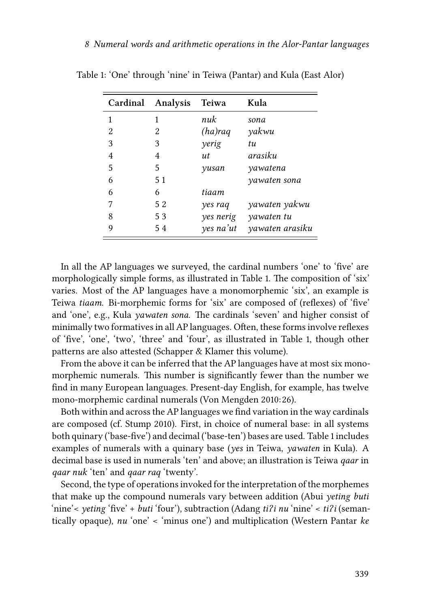<span id="page-2-0"></span>

| Cardinal | Analysis       | Teiwa     | Kula            |
|----------|----------------|-----------|-----------------|
| 1        | 1              | nuk       | sona            |
| 2        | 2              | (ha)raq   | yakwu           |
| 3        | 3              | yerig     | tи              |
| 4        | 4              | $u$ t     | arasiku         |
| 5        | 5              | yusan     | yawatena        |
| 6        | 5 <sub>1</sub> |           | yawaten sona    |
| 6        | 6              | tiaam     |                 |
| 7        | 52             | yes raq   | yawaten yakwu   |
| 8        | 53             | yes nerig | yawaten tu      |
| 9        | 54             | yes na'ut | yawaten arasiku |

Table 1: 'One' through 'nine' in Teiwa (Pantar) and Kula (East Alor)

In all the AP languages we surveyed, the cardinal numbers 'one' to 'five' are morphologically simple forms, as illustrated in Table [1](#page-2-0). The composition of 'six' varies. Most of the AP languages have a monomorphemic 'six', an example is Teiwa *tiaam*. Bi-morphemic forms for 'six' are composed of (reflexes) of 'five' and 'one', e.g., Kula *yawaten sona*. The cardinals 'seven' and higher consist of minimally two formatives in all AP languages. Often, these forms involve reflexes of 'five', 'one', 'two', 'three' and 'four', as illustrated in Table [1](#page-2-0), though other patterns are also attested([Schapper & Klamer this volume\)](#page-35-1).

From the above it can be inferred that the AP languages have at most six monomorphemic numerals. This number is significantly fewer than the number we find in many European languages. Present-day English, for example, has twelve mono-morphemic cardinal numerals([Von Mengden 2010:](#page-36-0)26).

Both within and across the AP languages we find variation in the way cardinals are composed (cf. [Stump 2010](#page-36-1)). First, in choice of numeral base: in all systems both quinary ('base-five') and decimal ('base-ten') bases are used. Table [1](#page-2-0)includes examples of numerals with a quinary base (*yes* in Teiwa, *yawaten* in Kula). A decimal base is used in numerals 'ten' and above; an illustration is Teiwa *qaar* in *qaar nuk* 'ten' and *qaar raq* 'twenty'.

Second, the type of operations invoked for the interpretation of the morphemes that make up the compound numerals vary between addition (Abui *yeting buti* 'nine'< *yeting* 'five' + *buti* 'four'), subtraction (Adang *tiʔi nu* 'nine' < *tiʔi* (semantically opaque), *nu* 'one' < 'minus one') and multiplication (Western Pantar *ke*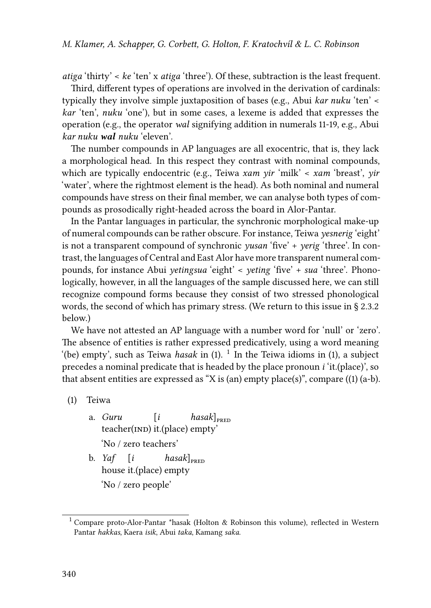*atiga* 'thirty' < *ke* 'ten' x *atiga* 'three'). Of these, subtraction is the least frequent.

Third, different types of operations are involved in the derivation of cardinals: typically they involve simple juxtaposition of bases (e.g., Abui *kar nuku* 'ten' < *kar* 'ten', *nuku* 'one'), but in some cases, a lexeme is added that expresses the operation (e.g., the operator *wal* signifying addition in numerals 11-19, e.g., Abui *kar nuku wal nuku* 'eleven'.

The number compounds in AP languages are all exocentric, that is, they lack a morphological head. In this respect they contrast with nominal compounds, which are typically endocentric (e.g., Teiwa *xam yir* 'milk' < *xam* 'breast', *yir* 'water', where the rightmost element is the head). As both nominal and numeral compounds have stress on their final member, we can analyse both types of compounds as prosodically right-headed across the board in Alor-Pantar.

In the Pantar languages in particular, the synchronic morphological make-up of numeral compounds can be rather obscure. For instance, Teiwa *yesnerig* 'eight' is not a transparent compound of synchronic *yusan* 'five' + *yerig* 'three'. In contrast, the languages of Central and East Alor have more transparent numeral compounds, for instance Abui *yetingsua* 'eight' < *yeting* 'five' + *sua* 'three'. Phonologically, however, in all the languages of the sample discussed here, we can still recognize compound forms because they consist of two stressed phonological words, the second of which has primary stress. (We return to this issue in § [2.3.2](#page-9-0) below.)

We have not attested an AP language with a number word for 'null' or 'zero'. The absence of entities is rather expressed predicatively, using a word meaning '(be)empty', such as Teiwa *hasak* in  $(1)$  $(1)$ . <sup>1</sup> In the Teiwa idioms in  $(1)$ , a subject precedes a nominal predicate that is headed by the place pronoun *i* 'it.(place)', so that absent entities are expressed as "X is (an) empty place(s)", compare  $((1)$  $((1)$  $((1)$  (a-b).

<span id="page-3-0"></span>(1) Teiwa

- a. *Guru* teacher(IND) it.(place) empty'  $\lceil i \rceil$  $[hasak]_{\text{PRED}}$ 'No / zero teachers'
- b. *Yaf* [*i* house it.(place) empty  $[hasak]_{\text{PRED}}$ 'No / zero people'

<sup>&</sup>lt;sup>1</sup> Compare proto-Alor-Pantar \*hasak [\(Holton & Robinson this volume\)](#page-35-2), reflected in Western Pantar *hakkas*, Kaera *isik*, Abui *taka*, Kamang *saka*.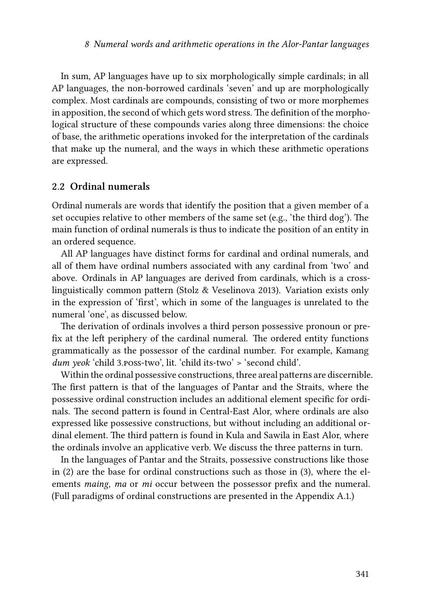In sum, AP languages have up to six morphologically simple cardinals; in all AP languages, the non-borrowed cardinals 'seven' and up are morphologically complex. Most cardinals are compounds, consisting of two or more morphemes in apposition, the second of which gets word stress. The definition of the morphological structure of these compounds varies along three dimensions: the choice of base, the arithmetic operations invoked for the interpretation of the cardinals that make up the numeral, and the ways in which these arithmetic operations are expressed.

#### <span id="page-4-0"></span>**2.2 Ordinal numerals**

Ordinal numerals are words that identify the position that a given member of a set occupies relative to other members of the same set (e.g., 'the third dog'). The main function of ordinal numerals is thus to indicate the position of an entity in an ordered sequence.

All AP languages have distinct forms for cardinal and ordinal numerals, and all of them have ordinal numbers associated with any cardinal from 'two' and above. Ordinals in AP languages are derived from cardinals, which is a crosslinguistically common pattern([Stolz & Veselinova 2013](#page-35-3)). Variation exists only in the expression of 'first', which in some of the languages is unrelated to the numeral 'one', as discussed below.

The derivation of ordinals involves a third person possessive pronoun or prefix at the left periphery of the cardinal numeral. The ordered entity functions grammatically as the possessor of the cardinal number. For example, Kamang *dum yeok* 'child 3.poss-two', lit. 'child its-two' > 'second child'.

Within the ordinal possessive constructions, three areal patterns are discernible. The first pattern is that of the languages of Pantar and the Straits, where the possessive ordinal construction includes an additional element specific for ordinals. The second pattern is found in Central-East Alor, where ordinals are also expressed like possessive constructions, but without including an additional ordinal element. The third pattern is found in Kula and Sawila in East Alor, where the ordinals involve an applicative verb. We discuss the three patterns in turn.

<span id="page-4-1"></span>In the languages of Pantar and the Straits, possessive constructions like those in([2\)](#page-4-1) are the base for ordinal constructions such as those in [\(3\)](#page-5-0), where the elements *maing*, *ma* or *mi* occur between the possessor prefix and the numeral. (Full paradigms of ordinal constructions are presented in the Appendix [A.1.](#page-22-0))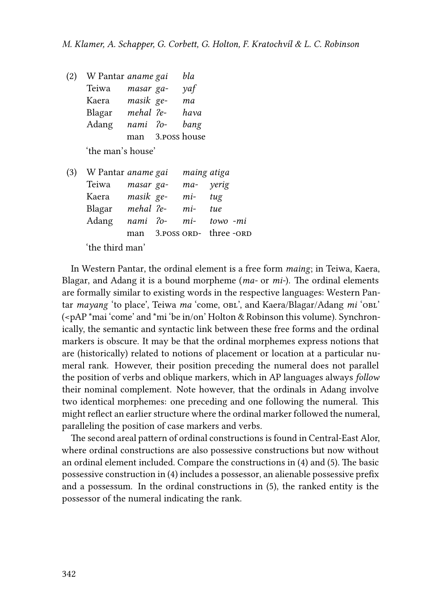(2) W Pantar *aname gai* Teiwa Kaera Blagar Adang *masar gamasik gemehal ʔenami ʔo*man 3.poss house *bla yaf ma hava bang* 'the man's house'

<span id="page-5-0"></span>

| (3) | W Pantar <i>aname gai</i> |               | maing atiga |                             |
|-----|---------------------------|---------------|-------------|-----------------------------|
|     | Teiwa                     | masar ga-     | ma- yerig   |                             |
|     | Kaera                     | masik ge-     | $mi$ - tug  |                             |
|     | Blagar                    | mehal ?e- mi- |             | tue                         |
|     | Adang                     |               |             | nami ?o- mi- towo-mi        |
|     |                           |               |             | man 3. POSS ORD- three -ORD |
|     | 'the third man'           |               |             |                             |

In Western Pantar, the ordinal element is a free form *maing*; in Teiwa, Kaera, Blagar, and Adang it is a bound morpheme (*ma-* or *mi-*). The ordinal elements are formally similar to existing words in the respective languages: Western Pantar *mayang* 'to place', Teiwa *ma* 'come, obl', and Kaera/Blagar/Adang *mi* 'obl'  $({\leq}pAP^*$ mai 'come' and  $*mi$  'be in/on' [Holton & Robinson this volume](#page-35-2)). Synchronically, the semantic and syntactic link between these free forms and the ordinal markers is obscure. It may be that the ordinal morphemes express notions that are (historically) related to notions of placement or location at a particular numeral rank. However, their position preceding the numeral does not parallel the position of verbs and oblique markers, which in AP languages always *follow* their nominal complement. Note however, that the ordinals in Adang involve two identical morphemes: one preceding and one following the numeral. This might reflect an earlier structure where the ordinal marker followed the numeral, paralleling the position of case markers and verbs.

The second areal pattern of ordinal constructions is found in Central-East Alor, where ordinal constructions are also possessive constructions but now without an ordinal element included. Compare the constructions in [\(4](#page-6-0)) and [\(5](#page-6-1)). The basic possessive construction in [\(4\)](#page-6-0) includes a possessor, an alienable possessive prefix and a possessum. In the ordinal constructions in [\(5](#page-6-1)), the ranked entity is the possessor of the numeral indicating the rank.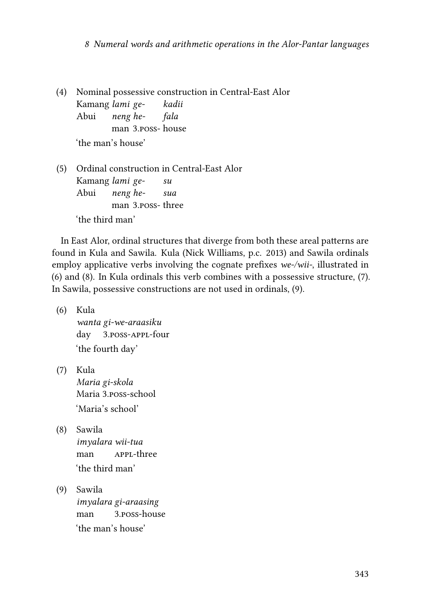- <span id="page-6-0"></span>(4) Nominal possessive construction in Central-East Alor Kamang *lami ge-*Abui *neng he*man 3.poss-house *kadii fala* 'the man's house'
- <span id="page-6-1"></span>(5) Ordinal construction in Central-East Alor Kamang *lami ge-*Abui *neng he*man 3.poss-three *su sua* 'the third man'

In East Alor, ordinal structures that diverge from both these areal patterns are found in Kula and Sawila. Kula (Nick Williams, p.c. 2013) and Sawila ordinals employ applicative verbs involving the cognate prefixes *we-/wii-*, illustrated in [\(6](#page-6-2)) and [\(8\)](#page-6-3). In Kula ordinals this verb combines with a possessive structure,([7](#page-6-4)). In Sawila, possessive constructions are not used in ordinals,([9](#page-6-5)).

- <span id="page-6-2"></span>(6) Kula *wanta gi-we-araasiku* day 3.poss-appl-four 'the fourth day'
- <span id="page-6-4"></span>(7) Kula *Maria gi-skola* Maria 3.poss-school 'Maria's school'
- <span id="page-6-3"></span>(8) Sawila *imyalara wii-tua* man appl-three 'the third man'
- <span id="page-6-5"></span>(9) Sawila *imyalara gi-araasing* man 3.poss-house 'the man's house'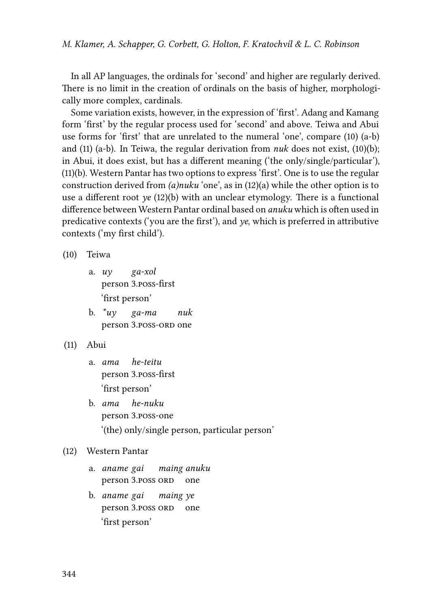In all AP languages, the ordinals for 'second' and higher are regularly derived. There is no limit in the creation of ordinals on the basis of higher, morphologically more complex, cardinals.

Some variation exists, however, in the expression of 'first'. Adang and Kamang form 'first' by the regular process used for 'second' and above. Teiwa and Abui use forms for 'first' that are unrelated to the numeral 'one', compare [\(10](#page-7-0)) (a-b) and [\(11](#page-7-1)) (a-b). In Teiwa, the regular derivation from *nuk* does not exist, [\(10\)](#page-7-0)(b); in Abui, it does exist, but has a different meaning ('the only/single/particular'), [\(11](#page-7-1))(b). Western Pantar has two options to express 'first'. One is to use the regular construction derived from *(a)nuku* 'one', as in [\(12](#page-7-2))(a) while the other option is to use a different root  $ye(12)(b)$  $ye(12)(b)$  $ye(12)(b)$  with an unclear etymology. There is a functional difference between Western Pantar ordinal based on *anuku* which is often used in predicative contexts ('you are the first'), and *ye*, which is preferred in attributive contexts ('my first child').

- <span id="page-7-0"></span>(10) Teiwa
	- a. *uy* person 3.poss-first *ga-xol* 'first person'
	- b. *\*uy* person 3.poss-ord one *ga-ma nuk*
- <span id="page-7-1"></span>(11) Abui
	- a. *ama* person 3.poss-first *he-teitu* 'first person'
	- b. *ama* person 3.poss-one *he-nuku* '(the) only/single person, particular person'

#### <span id="page-7-2"></span>(12) Western Pantar

- a. *aname gai* person 3.poss ord *maing anuku* one
- b. *aname gai* person 3.poss ord *maing ye* one 'first person'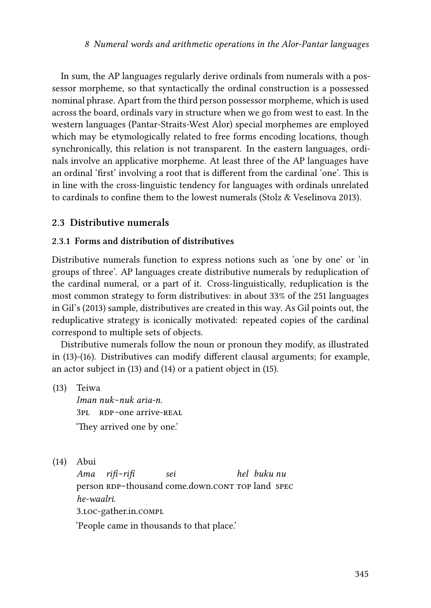In sum, the AP languages regularly derive ordinals from numerals with a possessor morpheme, so that syntactically the ordinal construction is a possessed nominal phrase. Apart from the third person possessor morpheme, which is used across the board, ordinals vary in structure when we go from west to east. In the western languages (Pantar-Straits-West Alor) special morphemes are employed which may be etymologically related to free forms encoding locations, though synchronically, this relation is not transparent. In the eastern languages, ordinals involve an applicative morpheme. At least three of the AP languages have an ordinal 'first' involving a root that is different from the cardinal 'one'. This is in line with the cross-linguistic tendency for languages with ordinals unrelated to cardinals to confine them to the lowest numerals [\(Stolz & Veselinova 2013\)](#page-35-3).

#### <span id="page-8-0"></span>**2.3 Distributive numerals**

#### **2.3.1 Forms and distribution of distributives**

Distributive numerals function to express notions such as 'one by one' or 'in groups of three'. AP languages create distributive numerals by reduplication of the cardinal numeral, or a part of it. Cross-linguistically, reduplication is the most common strategy to form distributives: in about 33% of the 251 languages in Gil's (2013) sample, distributives are created in this way. As Gil points out, the reduplicative strategy is iconically motivated: repeated copies of the cardinal correspond to multiple sets of objects.

Distributive numerals follow the noun or pronoun they modify, as illustrated in([13\)](#page-8-1)-([16](#page-9-1)). Distributives can modify different clausal arguments; for example, an actor subject in [\(13](#page-8-1)) and([14\)](#page-8-2) or a patient object in [\(15](#page-9-2)).

<span id="page-8-1"></span>(13) Teiwa

*Iman nuk∼nuk aria-n.* 3PL RDP~one arrive-REAL 'They arrived one by one.'

<span id="page-8-2"></span>(14) Abui

*Ama* person RDP∼thousand come.down.con⊤ TOP land sPEC *rifi∼rifi sei hel buku nu he-waalri.* 3.loc-gather.in.compl 'People came in thousands to that place.'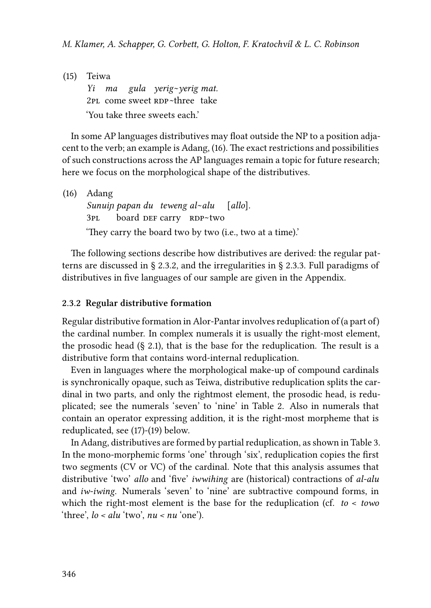<span id="page-9-2"></span>(15) Teiwa *Yi ma gula yerig∼yerig mat.* 2PL come sweet RDP∼three take 'You take three sweets each.'

In some AP languages distributives may float outside the NP to a position adjacent to the verb; an example is Adang, [\(16](#page-9-1)). The exact restrictions and possibilities of such constructions across the AP languages remain a topic for future research; here we focus on the morphological shape of the distributives.

<span id="page-9-1"></span>(16) Adang *Sunuiɲ papan du teweng al∼alu* 3pl board DEF carry RDP∼two [*allo*]*.* 'They carry the board two by two (i.e., two at a time).'

The following sections describe how distributives are derived: the regular patterns are discussed in § [2.3.2](#page-9-0), and the irregularities in § [2.3.3.](#page-11-0) Full paradigms of distributives in five languages of our sample are given in the Appendix.

#### <span id="page-9-0"></span>**2.3.2 Regular distributive formation**

Regular distributive formation in Alor-Pantar involves reduplication of (a part of) the cardinal number. In complex numerals it is usually the right-most element, the prosodic head  $(S_2.1)$  $(S_2.1)$ , that is the base for the reduplication. The result is a distributive form that contains word-internal reduplication.

Even in languages where the morphological make-up of compound cardinals is synchronically opaque, such as Teiwa, distributive reduplication splits the cardinal in two parts, and only the rightmost element, the prosodic head, is reduplicated; see the numerals 'seven' to 'nine' in Table [2](#page-10-0). Also in numerals that contain an operator expressing addition, it is the right-most morpheme that is reduplicated, see([17\)](#page-11-1)-([19\)](#page-11-2) below.

In Adang, distributives are formed by partial reduplication, as shown in Table [3](#page-10-1). In the mono-morphemic forms 'one' through 'six', reduplication copies the first two segments (CV or VC) of the cardinal. Note that this analysis assumes that distributive 'two' *allo* and 'five' *iwwihing* are (historical) contractions of *al-alu* and *iw-iwing*. Numerals 'seven' to 'nine' are subtractive compound forms, in which the right-most element is the base for the reduplication (cf. *to* < *towo* 'three', *lo < alu* 'two', *nu < nu* 'one').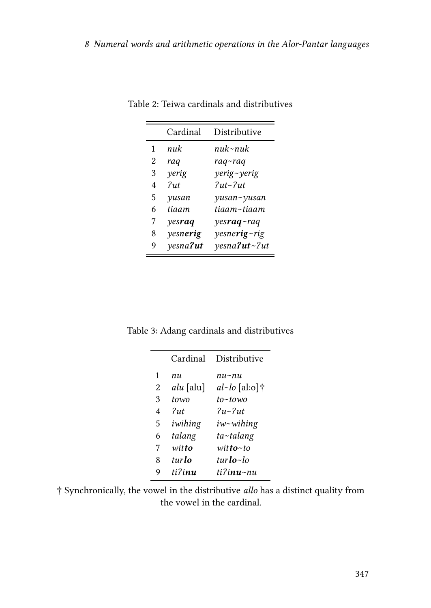<span id="page-10-0"></span>

|                          | Cardinal       | Distributive           |
|--------------------------|----------------|------------------------|
| 1                        | nuk            | nuk~nuk                |
| $\mathfrak{D}$           | raq            | raq~raq                |
| 3                        | yerig          | yerig~yerig            |
| $\overline{\mathcal{A}}$ | 2ut            | $2ut \sim 2ut$         |
| 5                        | yusan          | $\nu$ usan~ $\nu$ usan |
| 6                        | tiaam          | tiaam∼tiaam            |
| 7                        | ves <i>rad</i> | yesraq~raq             |
| 8                        | yesnerig       | yesnerig~rig           |
| 9                        | yesna?ut       | yesna?ut~?ut           |

Table 2: Teiwa cardinals and distributives

Table 3: Adang cardinals and distributives

<span id="page-10-1"></span>

|   | Cardinal        | Distributive       |
|---|-----------------|--------------------|
| 1 | n.u             | nu~nu              |
| 2 | alu [alu]       | $al$ ~lo [al:o]†   |
| 3 | towo            | to~towo            |
| 4 | 2 <sub>ut</sub> | $2u$ ~ $2ut$       |
| 5 | iwihing         | iw~wihing          |
| 6 | talang          | ta~talang          |
| 7 | witto           | $with to \sim to$  |
| 8 | turlo           | tur <b>lo</b> ~lo  |
| 9 | ti?inu          | ti?i <b>nu~</b> nu |
|   |                 |                    |

† Synchronically, the vowel in the distributive *allo* has a distinct quality from the vowel in the cardinal.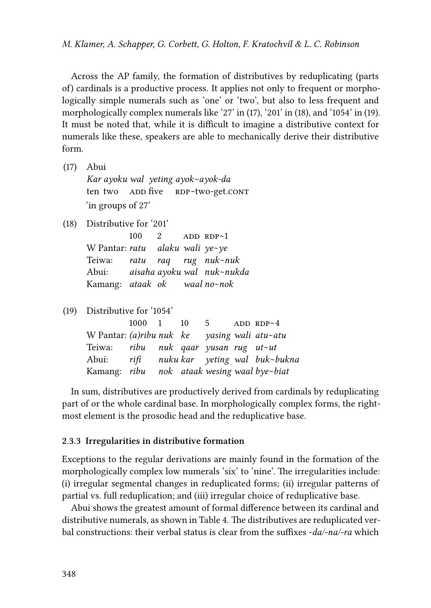Across the AP family, the formation of distributives by reduplicating (parts of) cardinals is a productive process. It applies not only to frequent or morphologically simple numerals such as 'one' or 'two', but also to less frequent and morphologically complex numerals like '27' in [\(17\)](#page-11-1), '201' in([18\)](#page-11-3), and '1054' in([19\)](#page-11-2). It must be noted that, while it is difficult to imagine a distributive context for numerals like these, speakers are able to mechanically derive their distributive form.

<span id="page-11-1"></span>(17) Abui *Kar ayoku wal yeting ayok∼ayok-da* ten two ADD five rdp*∼*two-get.cont 'in groups of 27'

<span id="page-11-3"></span>(18) Distributive for '201'

W Pantar: *ratu* Teiwa: Abui: Kamang: *ataak ok* 100 *ratu aisaha ayoku wal nuk∼nukda* 2 *alaku wali ye∼ye raq* add rdp∼1 *rug nuk∼nuk waal no∼nok*

<span id="page-11-2"></span>(19) Distributive for '1054'

|                                              | $1000 \quad 1 \quad 10 \quad 5 \quad \text{ADD RDP~4}$ |  |  |                                          |
|----------------------------------------------|--------------------------------------------------------|--|--|------------------------------------------|
| W Pantar: (a)ribu nuk ke yasing wali atu~atu |                                                        |  |  |                                          |
| Teiwa: ribu nuk qaar yusan rug ut~ut         |                                                        |  |  |                                          |
|                                              |                                                        |  |  | Abui: rifi nuku-kar yeting-wal-buk~bukna |
| Kamang: ribu nok ataak wesing waal bye~biat  |                                                        |  |  |                                          |

In sum, distributives are productively derived from cardinals by reduplicating part of or the whole cardinal base. In morphologically complex forms, the rightmost element is the prosodic head and the reduplicative base.

#### <span id="page-11-0"></span>**2.3.3 Irregularities in distributive formation**

Exceptions to the regular derivations are mainly found in the formation of the morphologically complex low numerals 'six' to 'nine'. The irregularities include: (i) irregular segmental changes in reduplicated forms; (ii) irregular patterns of partial vs. full reduplication; and (iii) irregular choice of reduplicative base.

Abui shows the greatest amount of formal difference between its cardinal and distributive numerals, as shown in Table [4.](#page-12-0) The distributives are reduplicated verbal constructions: their verbal status is clear from the suffixes -*da/-na/-ra* which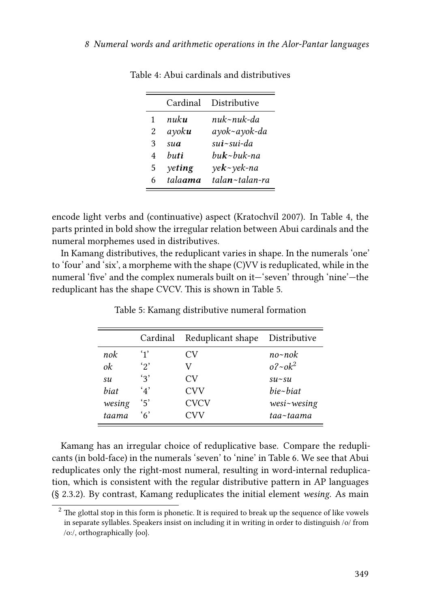<span id="page-12-0"></span>

|   | Cardinal        | Distributive            |
|---|-----------------|-------------------------|
| 1 | nuk <b>u</b>    | nuk~nuk-da              |
| 2 | ayoku           | ayok~ayok-da            |
| 3 | sua             | $sui \sim sui - da$     |
| 4 | huti            | $huk$ ~ $huk$ -na       |
| 5 | veting          | $yek$ ~ $yek$ -na       |
| 6 | tala <b>ama</b> | tala <b>n</b> ~talan-ra |

Table 4: Abui cardinals and distributives

encode light verbs and (continuative) aspect([Kratochvíl 2007\)](#page-35-4). In Table [4](#page-12-0), the parts printed in bold show the irregular relation between Abui cardinals and the numeral morphemes used in distributives.

In Kamang distributives, the reduplicant varies in shape. In the numerals 'one' to 'four' and 'six', a morpheme with the shape (C)VV is reduplicated, while in the numeral 'five' and the complex numerals built on it—'seven' through 'nine'—the reduplicant has the shape CVCV. This is shown in Table [5.](#page-12-1)

|          | Cardinal            | Reduplicant shape | Distributive   |
|----------|---------------------|-------------------|----------------|
| nok      | $\cdot_1$           | CV                | $no\neg nok$   |
| $\alpha$ | $^{\circ}2^{\circ}$ |                   | $0^2$ ~ $0k^2$ |
| su       | $\cdot$ 3'          | CV                | $su$ ~su       |
| biat     | $^{\circ}4^{\circ}$ | <b>CVV</b>        | hie~biat       |
| wesing   | $\cdot$ 5'          | <b>CVCV</b>       | wesi~wesing    |
| taama    | $\lq \lq \lq \lq$   | CVV               | taa~taama      |

<span id="page-12-1"></span>Table 5: Kamang distributive numeral formation

Kamang has an irregular choice of reduplicative base. Compare the reduplicants (in bold-face) in the numerals 'seven' to 'nine' in Table [6.](#page-13-2) We see that Abui reduplicates only the right-most numeral, resulting in word-internal reduplication, which is consistent with the regular distributive pattern in AP languages (§ [2.3.2\)](#page-9-0). By contrast, Kamang reduplicates the initial element *wesing*. As main

 $2$  The glottal stop in this form is phonetic. It is required to break up the sequence of like vowels in separate syllables. Speakers insist on including it in writing in order to distinguish /o/ from /o:/, orthographically {oo}.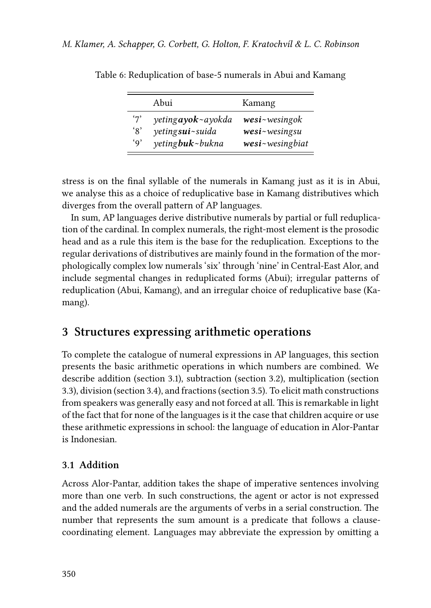<span id="page-13-2"></span>

|                | Abui                     | Kamang             |
|----------------|--------------------------|--------------------|
| $\cdot$ 7'     | yetingayok~ayokda        | $wesi~wesingok$    |
| $^{\circ}8'$   | yetingsui~suida          | wesi~wesingsu      |
| $\mathfrak{g}$ | yeting <b>buk</b> ~bukna | $wesi~wesing biat$ |

Table 6: Reduplication of base-5 numerals in Abui and Kamang

stress is on the final syllable of the numerals in Kamang just as it is in Abui, we analyse this as a choice of reduplicative base in Kamang distributives which diverges from the overall pattern of AP languages.

In sum, AP languages derive distributive numerals by partial or full reduplication of the cardinal. In complex numerals, the right-most element is the prosodic head and as a rule this item is the base for the reduplication. Exceptions to the regular derivations of distributives are mainly found in the formation of the morphologically complex low numerals 'six' through 'nine' in Central-East Alor, and include segmental changes in reduplicated forms (Abui); irregular patterns of reduplication (Abui, Kamang), and an irregular choice of reduplicative base (Kamang).

## <span id="page-13-0"></span>**3 Structures expressing arithmetic operations**

To complete the catalogue of numeral expressions in AP languages, this section presents the basic arithmetic operations in which numbers are combined. We describe addition (section [3.1](#page-13-1)), subtraction (section [3.2\)](#page-14-0), multiplication (section [3.3\)](#page-15-0), division (section [3.4\)](#page-16-0), and fractions (section [3.5](#page-17-0)). To elicit math constructions from speakers was generally easy and not forced at all. This is remarkable in light of the fact that for none of the languages is it the case that children acquire or use these arithmetic expressions in school: the language of education in Alor-Pantar is Indonesian.

#### <span id="page-13-1"></span>**3.1 Addition**

Across Alor-Pantar, addition takes the shape of imperative sentences involving more than one verb. In such constructions, the agent or actor is not expressed and the added numerals are the arguments of verbs in a serial construction. The number that represents the sum amount is a predicate that follows a clausecoordinating element. Languages may abbreviate the expression by omitting a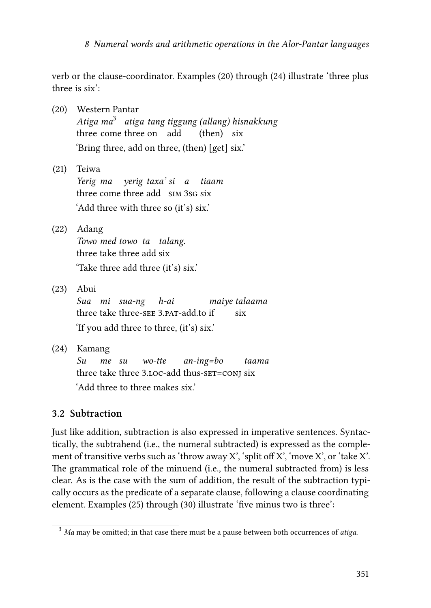*8 Numeral words and arithmetic operations in the Alor-Pantar languages*

verb or the clause-coordinator. Examples([20\)](#page-14-1) through([24](#page-14-2)) illustrate 'three plus three is six':

- <span id="page-14-1"></span>(20) Western Pantar *Atiga ma*<sup>3</sup> *atiga tang tiggung (allang) hisnakkung* three come three on add (then) six 'Bring three, add on three, (then) [get] six.'
- (21) Teiwa *Yerig ma* three come three add sim 3sg six *yerig taxa' si a tiaam* 'Add three with three so (it's) six.'
- (22) Adang *Towo med towo ta talang.* three take three add six 'Take three add three (it's) six.'
- (23) Abui

*Sua mi sua-ng h-ai* three take three-s $E$ E 3.pat-add.to if *maiye talaama* six 'If you add three to three, (it's) six.'

<span id="page-14-2"></span>(24) Kamang

*Su* three take three 3.10c-add thus-s $_{\tt ETCONJ}$  six *me su wo-tte an-ing=bo taama* 'Add three to three makes six.'

#### <span id="page-14-0"></span>**3.2 Subtraction**

Just like addition, subtraction is also expressed in imperative sentences. Syntactically, the subtrahend (i.e., the numeral subtracted) is expressed as the complement of transitive verbs such as 'throw away X', 'split off X', 'move X', or 'take X'. The grammatical role of the minuend (i.e., the numeral subtracted from) is less clear. As is the case with the sum of addition, the result of the subtraction typically occurs as the predicate of a separate clause, following a clause coordinating element. Examples [\(25](#page-15-1)) through [\(30\)](#page-15-2) illustrate 'five minus two is three':

<sup>3</sup> *Ma* may be omitted; in that case there must be a pause between both occurrences of *atiga*.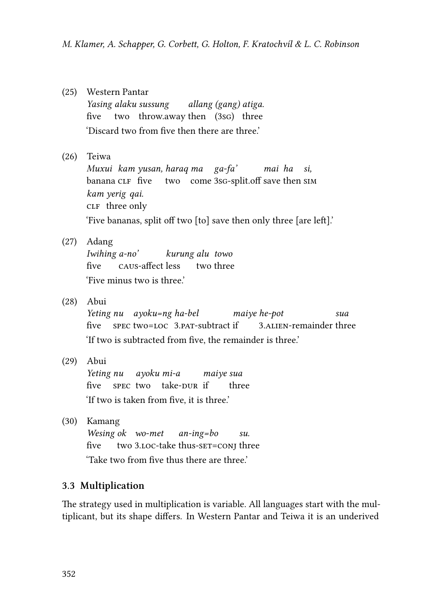#### <span id="page-15-1"></span>(25) Western Pantar

*Yasing alaku sussung allang (gang) atiga.* five two throw.away then (3sg) three 'Discard two from five then there are three.'

(26) Teiwa

*Muxui kam yusan, haraq ma ga-fa'* banana c<mark>ler</mark> five two come 3sg-split.off save then sim *mai ha si, kam yerig qai.* clf three only 'Five bananas, split off two [to] save then only three [are left].'

(27) Adang

*Iwihing a-no'* five caus-affect less two three *kurung alu towo* 'Five minus two is three.'

(28) Abui

*Yeting nu ayoku=ng ha-bel* five spec two=LOC 3.par-subtract if *maiye he-pot* 3.alien-remainder three *sua* 'If two is subtracted from five, the remainder is three.'

(29) Abui

*Yeting nu* five spec two take-DUR if *ayoku mi-a maiye sua* three 'If two is taken from five, it is three.'

<span id="page-15-2"></span>(30) Kamang

*Wesing ok wo-met an-ing=bo* five two 3.10c-take thus-s $ET=$ conj three *su.* 'Take two from five thus there are three.'

#### <span id="page-15-0"></span>**3.3 Multiplication**

The strategy used in multiplication is variable. All languages start with the multiplicant, but its shape differs. In Western Pantar and Teiwa it is an underived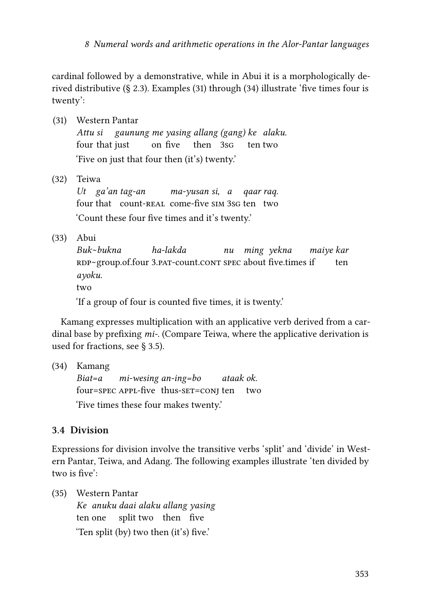cardinal followed by a demonstrative, while in Abui it is a morphologically derived distributive (§ [2.3](#page-8-0)). Examples([31\)](#page-16-1) through([34](#page-16-2)) illustrate 'five times four is twenty':

<span id="page-16-1"></span>(31) Western Pantar

*Attu si* four that just *gaunung me yasing allang (gang) ke alaku.* on five then 3sg ten two 'Five on just that four then (it's) twenty.'

(32) Teiwa

*Ut ga'an tag-an* four that count-real come-five sim 3sg ten two *ma-yusan si, a qaar raq.* 'Count these four five times and it's twenty.'

(33) Abui

*Buk∼bukna* RDP∼group.of.four 3.pAT-count.con⊤ spEc about five.times if *ha-lakda nu ming yekna maiye kar* ten *ayoku.* two 'If a group of four is counted five times, it is twenty.'

Kamang expresses multiplication with an applicative verb derived from a cardinal base by prefixing *mi-*. (Compare Teiwa, where the applicative derivation is used for fractions, see § [3.5](#page-17-0)).

<span id="page-16-2"></span>(34) Kamang

*Biat=a* four=spec Appl-five thus-ser=conj ten two *mi-wesing an-ing=bo ataak ok.* 'Five times these four makes twenty.'

#### <span id="page-16-0"></span>**3.4 Division**

Expressions for division involve the transitive verbs 'split' and 'divide' in Western Pantar, Teiwa, and Adang. The following examples illustrate 'ten divided by two is five':

<span id="page-16-3"></span>(35) Western Pantar *Ke anuku daai alaku allang yasing* ten one split two then five 'Ten split (by) two then (it's) five.'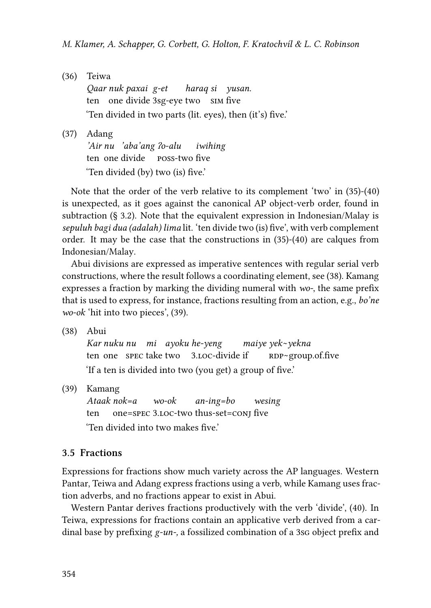- (36) Teiwa *Qaar nuk paxai g-et* ten one divide 3sg-eye two sim five *haraq si yusan.* 'Ten divided in two parts (lit. eyes), then (it's) five.'
- (37) Adang *'Air nu 'aba'ang ʔo-alu* ten one divide poss-two five *iwihing* 'Ten divided (by) two (is) five.'

Note that the order of the verb relative to its complement 'two' in [\(35](#page-16-3))-([40](#page-18-0)) is unexpected, as it goes against the canonical AP object-verb order, found in subtraction (§ [3.2](#page-14-0)). Note that the equivalent expression in Indonesian/Malay is *sepuluh bagi dua (adalah) lima* lit. 'ten divide two (is) five', with verb complement order. It may be the case that the constructions in([35\)](#page-16-3)-[\(40\)](#page-18-0) are calques from Indonesian/Malay.

Abui divisions are expressed as imperative sentences with regular serial verb constructions, where the result follows a coordinating element, see([38\)](#page-17-1). Kamang expresses a fraction by marking the dividing numeral with *wo-*, the same prefix that is used to express, for instance, fractions resulting from an action, e.g., *bo'ne wo-ok* 'hit into two pieces',([39\)](#page-17-2).

<span id="page-17-1"></span>(38) Abui

*Kar nuku nu mi ayoku he-yeng* ten one spec take two 3.loc-divide if *maiye yek∼yekna* RDP∼group.of.five 'If a ten is divided into two (you get) a group of five.'

<span id="page-17-2"></span>(39) Kamang

*Ataak nok=a* ten one=spec 3.loc-two thus-set=conj five *wo-ok an-ing=bo wesing* 'Ten divided into two makes five.'

#### <span id="page-17-0"></span>**3.5 Fractions**

Expressions for fractions show much variety across the AP languages. Western Pantar, Teiwa and Adang express fractions using a verb, while Kamang uses fraction adverbs, and no fractions appear to exist in Abui.

Western Pantar derives fractions productively with the verb 'divide', [\(40\)](#page-18-0). In Teiwa, expressions for fractions contain an applicative verb derived from a cardinal base by prefixing *g-un-,* a fossilized combination of a 3sg object prefix and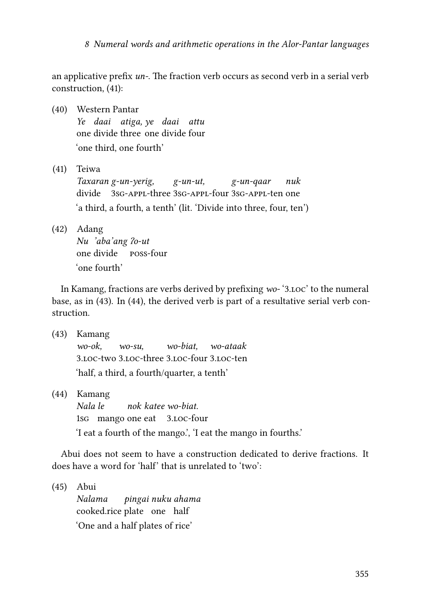*8 Numeral words and arithmetic operations in the Alor-Pantar languages*

an applicative prefix *un-*. The fraction verb occurs as second verb in a serial verb construction,([41\)](#page-18-1):

- <span id="page-18-0"></span>(40) Western Pantar *Ye daai atiga, ye daai attu* one divide three one divide four 'one third, one fourth'
- <span id="page-18-1"></span>(41) Teiwa *Taxaran g-un-yerig,* divide 3sg-appl-three 3sg-appl-four 3sg-appl-ten one *g-un-ut, g-un-qaar nuk* 'a third, a fourth, a tenth' (lit. 'Divide into three, four, ten')
- (42) Adang

*Nu 'aba'ang ʔo-ut* one divide poss-four 'one fourth'

In Kamang, fractions are verbs derived by prefixing *wo-* '3.loc' to the numeral base, as in([43](#page-18-2)). In([44](#page-18-3)), the derived verb is part of a resultative serial verb construction.

- <span id="page-18-2"></span>(43) Kamang *wo-ok,* 3.loc-two 3.loc-three 3.loc-four 3.loc-ten *wo-su, wo-biat, wo-ataak* 'half, a third, a fourth/quarter, a tenth'
- <span id="page-18-3"></span>(44) Kamang *Nala le* 1sg mango one eat 3.loc-four *nok katee wo-biat.* 'I eat a fourth of the mango.', 'I eat the mango in fourths.'

Abui does not seem to have a construction dedicated to derive fractions. It does have a word for 'half' that is unrelated to 'two':

(45) Abui *Nalama* cooked.rice plate one half *pingai nuku ahama* 'One and a half plates of rice'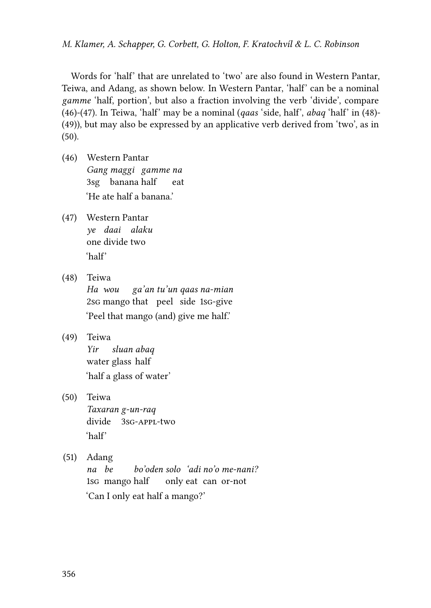Words for 'half' that are unrelated to 'two' are also found in Western Pantar, Teiwa, and Adang, as shown below. In Western Pantar, 'half' can be a nominal *gamme* 'half, portion', but also a fraction involving the verb 'divide', compare [\(46\)](#page-19-0)-([47](#page-19-1)). In Teiwa, 'half' may be a nominal (*qaas* 'side, half', *abaq* 'half' in [\(48\)](#page-19-2)- [\(49\)](#page-19-3)), but may also be expressed by an applicative verb derived from 'two', as in [\(50\)](#page-19-4).

- <span id="page-19-0"></span>(46) Western Pantar *Gang maggi gamme na* 3sg banana half eat 'He ate half a banana.'
- <span id="page-19-1"></span>(47) Western Pantar *ye daai alaku* one divide two 'half'
- <span id="page-19-2"></span>(48) Teiwa

*Ha wou* 2sG mango that peel side 1sG-give *ga'an tu'un qaas na-mian* 'Peel that mango (and) give me half.'

<span id="page-19-3"></span>(49) Teiwa

*Yir* water glass half *sluan abaq* 'half a glass of water'

- <span id="page-19-4"></span>(50) Teiwa *Taxaran g-un-raq* divide 3sg-appl-two 'half'
- (51) Adang

*na be* 1sg mango half *bo'oden solo 'adi no'o me-nani?* only eat can or-not 'Can I only eat half a mango?'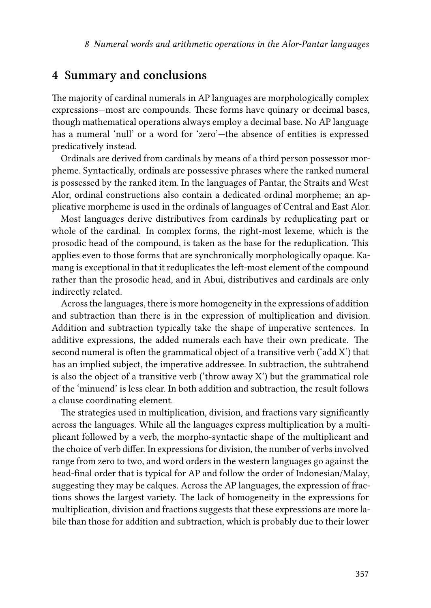## <span id="page-20-0"></span>**4 Summary and conclusions**

The majority of cardinal numerals in AP languages are morphologically complex expressions—most are compounds. These forms have quinary or decimal bases, though mathematical operations always employ a decimal base. No AP language has a numeral 'null' or a word for 'zero'—the absence of entities is expressed predicatively instead.

Ordinals are derived from cardinals by means of a third person possessor morpheme. Syntactically, ordinals are possessive phrases where the ranked numeral is possessed by the ranked item. In the languages of Pantar, the Straits and West Alor, ordinal constructions also contain a dedicated ordinal morpheme; an applicative morpheme is used in the ordinals of languages of Central and East Alor.

Most languages derive distributives from cardinals by reduplicating part or whole of the cardinal. In complex forms, the right-most lexeme, which is the prosodic head of the compound, is taken as the base for the reduplication. This applies even to those forms that are synchronically morphologically opaque. Kamang is exceptional in that it reduplicates the left-most element of the compound rather than the prosodic head, and in Abui, distributives and cardinals are only indirectly related.

Across the languages, there is more homogeneity in the expressions of addition and subtraction than there is in the expression of multiplication and division. Addition and subtraction typically take the shape of imperative sentences. In additive expressions, the added numerals each have their own predicate. The second numeral is often the grammatical object of a transitive verb ('add X') that has an implied subject, the imperative addressee. In subtraction, the subtrahend is also the object of a transitive verb ('throw away X') but the grammatical role of the 'minuend' is less clear. In both addition and subtraction, the result follows a clause coordinating element.

The strategies used in multiplication, division, and fractions vary significantly across the languages. While all the languages express multiplication by a multiplicant followed by a verb, the morpho-syntactic shape of the multiplicant and the choice of verb differ. In expressions for division, the number of verbs involved range from zero to two, and word orders in the western languages go against the head-final order that is typical for AP and follow the order of Indonesian/Malay, suggesting they may be calques. Across the AP languages, the expression of fractions shows the largest variety. The lack of homogeneity in the expressions for multiplication, division and fractions suggests that these expressions are more labile than those for addition and subtraction, which is probably due to their lower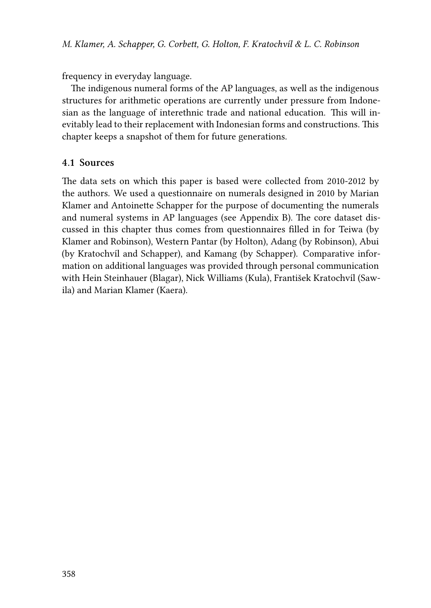frequency in everyday language.

The indigenous numeral forms of the AP languages, as well as the indigenous structures for arithmetic operations are currently under pressure from Indonesian as the language of interethnic trade and national education. This will inevitably lead to their replacement with Indonesian forms and constructions. This chapter keeps a snapshot of them for future generations.

#### **4.1 Sources**

The data sets on which this paper is based were collected from 2010-2012 by the authors. We used a questionnaire on numerals designed in 2010 by Marian Klamer and Antoinette Schapper for the purpose of documenting the numerals and numeral systems in AP languages (see Appendix B). The core dataset discussed in this chapter thus comes from questionnaires filled in for Teiwa (by Klamer and Robinson), Western Pantar (by Holton), Adang (by Robinson), Abui (by Kratochvíl and Schapper), and Kamang (by Schapper). Comparative information on additional languages was provided through personal communication with Hein Steinhauer (Blagar), Nick Williams (Kula), František Kratochvíl (Sawila) and Marian Klamer (Kaera).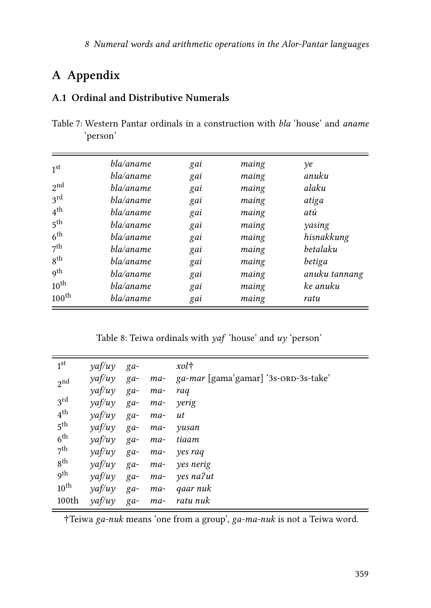## **A Appendix**

## <span id="page-22-0"></span>**A.1 Ordinal and Distributive Numerals**

Table 7: Western Pantar ordinals in a construction with *bla* 'house' and *aname* 'person'

| 1 <sup>st</sup>   | bla/aname<br>bla/aname | gai<br>gai | maing<br>maing | ye<br>anuku   |
|-------------------|------------------------|------------|----------------|---------------|
| 2 <sub>nd</sub>   | bla/aname              | gai        | maing          | alaku         |
| 3rd               | bla/aname              | gai        | maing          | atiga         |
| 4 <sup>th</sup>   | bla/aname              | gai        | maing          | atú           |
| 5 <sup>th</sup>   | bla/aname              | gai        | maing          | yasing        |
| 6 <sup>th</sup>   | bla/aname              | gai        | maing          | hisnakkung    |
| 7 <sup>th</sup>   | bla/aname              | gai        | maing          | betalaku      |
| gth               | bla/aname              | gai        | maing          | betiga        |
| <b>9th</b>        | bla/aname              | gai        | maing          | anuku tannang |
| $10^{\rm th}$     | bla/aname              | gai        | maing          | ke anuku      |
| $100^{\text{th}}$ | bla/aname              | gai        | maing          | ratu          |

Table 8: Teiwa ordinals with *yaf* 'house' and *uy* 'person'

| 1 <sup>st</sup> | $\gamma a f / \nu \gamma$ | $ga-$ |       | xol <sup>+</sup>                     |
|-----------------|---------------------------|-------|-------|--------------------------------------|
| 2 <sub>nd</sub> | $\gamma a f / \nu \gamma$ | $ga-$ | $ma-$ | ga-mar [gama'gamar] '3s-ORD-3s-take' |
|                 | $\gamma a f / \mu y$      | $ga-$ | ma-   | raq                                  |
| $3^{\text{rd}}$ | $\gamma$ af/u $\gamma$    | $ga-$ | ma-   | yerig                                |
| 4 <sup>th</sup> | $\gamma$ <i>af/uy</i>     | $ga-$ | $ma-$ | ut                                   |
| 5 <sup>th</sup> | $\gamma$ <i>af/uy</i>     | $ga-$ | ma-   | yusan                                |
| 6 <sup>th</sup> | $\gamma$ af/u $\gamma$    | $ga-$ | $ma-$ | tiaam                                |
| 7 <sup>th</sup> | $\gamma$ af/u $\gamma$    | $ga-$ | ma-   | yes raq                              |
| 8 <sup>th</sup> | $\gamma$ af/u $\gamma$    | $ga-$ | ma-   | yes nerig                            |
| <sub>9th</sub>  | $\gamma$ <i>af/uy</i>     | $ga-$ | $ma-$ | yes na?ut                            |
| $10^{\rm th}$   | $\gamma$ <i>af/uy</i>     | $ga-$ | $ma-$ | qaar nuk                             |
| 100th           | $\gamma a f / \nu \gamma$ | $ga-$ | $ma-$ | ratu nuk                             |

†Teiwa *ga-nuk* means 'one from a group', *ga-ma-nuk* is not a Teiwa word.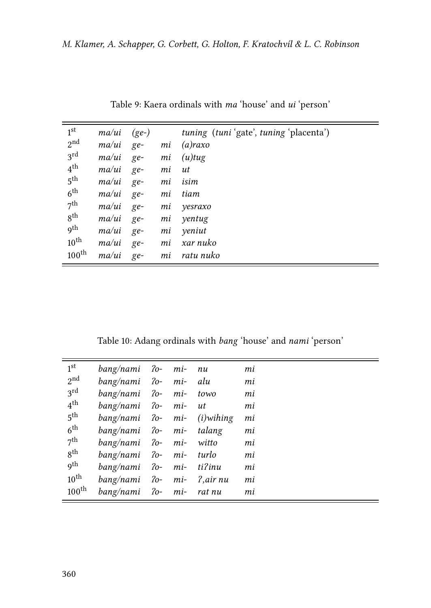| 1 <sup>st</sup>   |       |         |    |                                                               |
|-------------------|-------|---------|----|---------------------------------------------------------------|
|                   | ma/ui | $(ge-)$ |    | <i>tuning</i> ( <i>tuni</i> 'gate', <i>tuning</i> 'placenta') |
| 2 <sub>nd</sub>   | ma/ui | $ge-$   | mi | $(a)$ raxo                                                    |
| $3^{\text{rd}}$   | ma/ui | $ge-$   | mi | $(u)$ tug                                                     |
| 4 <sup>th</sup>   | ma/ui | $ge-$   | mi | ut                                                            |
| 5 <sup>th</sup>   | ma/ui | $ge-$   | mi | isim                                                          |
| 6 <sup>th</sup>   | ma/ui | $ge-$   | mi | tiam                                                          |
| 7 <sup>th</sup>   | ma/ui | $ge-$   | mi | yesraxo                                                       |
| 8 <sup>th</sup>   | ma/ui | $ge-$   | тi | yentug                                                        |
| <sub>9</sub> th   | ma/ui | $ge-$   | mi | yeniut                                                        |
| $10^{\text{th}}$  | ma/ui | $ge-$   | тi | xar nuko                                                      |
| $100^{\text{th}}$ | ma/ui | $ge-$   | mi | ratu nuko                                                     |

Table 9: Kaera ordinals with *ma* 'house' and *ui* 'person'

Table 10: Adang ordinals with *bang* 'house' and *nami* 'person'

| 1 <sup>st</sup>   | bang/nami | $20-$ | $mi-$ | nu                  | mi |
|-------------------|-----------|-------|-------|---------------------|----|
| 2 <sub>nd</sub>   | bang/nami | $20-$ | $mi-$ | alu                 | mi |
| 3rd               | bang/nami | 7о-   | $mi-$ | towo                | тi |
| 4 <sup>th</sup>   | bang/nami | ?о-   | $mi-$ | ut                  | тi |
| 5 <sup>th</sup>   | bang/nami | $20-$ | $mi-$ | $(i)$ <i>wihing</i> | mi |
| 6 <sup>th</sup>   | bang/nami | $20-$ | $mi-$ | talang              | тi |
| 7 <sup>th</sup>   | bang/nami | $20-$ | $mi-$ | witto               | тi |
| 8 <sup>th</sup>   | bang/nami | $20-$ | $mi-$ | turlo               | тi |
| <b>9th</b>        | bang/nami | $20-$ | $mi-$ | ti?inu              | mi |
| $10^{\text{th}}$  | bang/nami | $20-$ | $mi-$ | <i>?,air nu</i>     | mi |
| $100^{\text{th}}$ | bang/nami | $20-$ | $mi-$ | rat nu              | mi |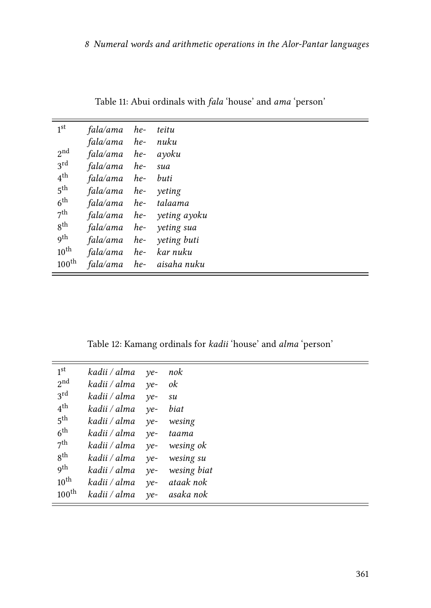Table 11: Abui ordinals with *fala* 'house' and *ama* 'person'

| 1 <sup>st</sup>   | fala/ama | he- | teitu              |
|-------------------|----------|-----|--------------------|
|                   | fala/ama | he- | nuku               |
| 2 <sub>nd</sub>   | fala/ama | he- | ayoku              |
| $3^{\text{rd}}$   | fala/ama | he- | sua                |
| 4 <sup>th</sup>   | fala/ama | he- | buti               |
| 5 <sup>th</sup>   | fala/ama | he- | yeting             |
| 6 <sup>th</sup>   | fala/ama | he- | talaama            |
| 7 <sup>th</sup>   | fala/ama |     | he- yeting ayoku   |
| 8 <sup>th</sup>   | fala/ama | he- | yeting sua         |
| <sub>9</sub> th   | fala/ama | he- | <i>yeting buti</i> |
| $10^{\text{th}}$  | fala/ama | he- | kar nuku           |
| $100^{\text{th}}$ | fala/ama | he- | aisaha nuku        |

Table 12: Kamang ordinals for *kadii* 'house' and *alma* 'person'

| 1 <sup>st</sup>   | kadii / alma ye- nok          |       |        |
|-------------------|-------------------------------|-------|--------|
| 2 <sub>nd</sub>   | kadii / alma ye-              |       | ok     |
| 3rd               | kadii / alma                  | $ve-$ | su     |
| 4 <sup>th</sup>   | kadii / alma ye-              |       | biat   |
| 5 <sup>th</sup>   | kadii / alma ye-              |       | wesing |
| 6 <sup>th</sup>   | kadii / alma ye-              |       | taama  |
| 7 <sup>th</sup>   | $kadii /alma$ ye- wesing ok   |       |        |
| 8 <sup>th</sup>   | $kadii /alma$ ye- wesing su   |       |        |
| <b>9th</b>        | $kadii /alma$ ye- wesing biat |       |        |
| $10^{\text{th}}$  | kadii / alma ye- ataak nok    |       |        |
| $100^{\text{th}}$ | kadii / alma ye- asaka nok    |       |        |
|                   |                               |       |        |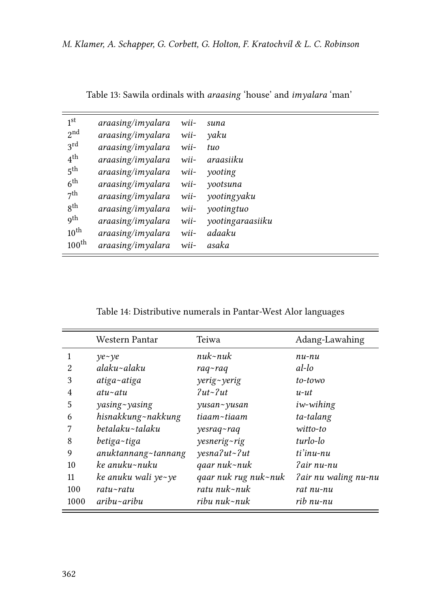| 1 <sup>st</sup>   | $arasing/imp$ arang | wii-   | suna             |
|-------------------|---------------------|--------|------------------|
| 2 <sub>nd</sub>   | araasing/imyalara   | $wii-$ | yaku             |
| 3rd               | araasing/imyalara   | $wii-$ | tuo              |
| 4 <sup>th</sup>   | araasing/imyalara   | $wii-$ | araasiiku        |
| 5 <sup>th</sup>   | araasing/imyalara   | wii-   | yooting          |
| 6 <sup>th</sup>   | araasing/imyalara   | $wii-$ | vootsuna         |
| 7 <sup>th</sup>   | araasing/imyalara   | $wii-$ | yootingyaku      |
| 8 <sup>th</sup>   | araasing/imyalara   | $wii-$ | yootingtuo       |
| qth               | araasing/imyalara   | $wii-$ | yootingaraasiiku |
| $10^{\text{th}}$  | araasing/imyalara   | $wii-$ | adaaku           |
| $100^{\text{th}}$ | araasing/imyalara   | $wii-$ | asaka            |

Table 13: Sawila ordinals with *araasing* 'house' and *imyalara* 'man'

Table 14: Distributive numerals in Pantar-West Alor languages

|                | Western Pantar        | Teiwa                | Adang-Lawahing       |
|----------------|-----------------------|----------------------|----------------------|
| 1              | $\gamma e \gamma e$   | $nuk$ ~nu $k$        | nu-nu                |
| $\overline{c}$ | alaku~alaku           | $raq$ ~raq           | al-lo                |
| 3              | atiga~atiga           | yerig~yerig          | to-towo              |
| 4              | $atu$ ~ $atu$         | $2ut \sim 2ut$       | $u$ - $ut$           |
| 5              | yasing~yasing         | yusan~yusan          | iw-wihing            |
| 6              | hisnakkung~nakkung    | tiaam~tiaam          | ta-talang            |
| 7              | betalaku~talaku       | yesraq~raq           | witto-to             |
| 8              | betiga~tiga           | yesnerig~rig         | turlo-lo             |
| 9              | anuktannang~tannang   | $yesna2ut$ ~ $2ut$   | ti'inu-nu            |
| 10             | $ke$ anuku~nuku       | qaar nuk~nuk         | <i>lair nu-nu</i>    |
| 11             | $ke$ anuku wali ye~ye | qaar nuk rug nuk~nuk | Tair nu waling nu-nu |
| 100            | ratu~ratu             | ratu nuk~nuk         | rat nu-nu            |
| 1000           | $aribu$ ~ $aribu$     | ribu nuk~nuk         | rib nu-nu            |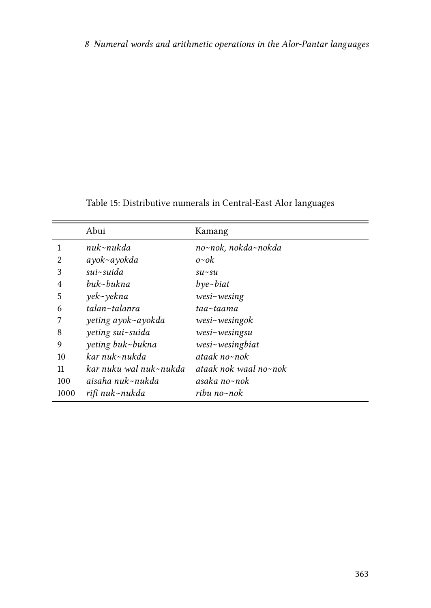Table 15: Distributive numerals in Central-East Alor languages

|                | Abui                         | Kamang                 |
|----------------|------------------------------|------------------------|
| 1              | nuk~nukda                    | no~nok, nokda~nokda    |
| 2              | $a\gamma$ ok~ $a\gamma$ okda | $o \sim ok$            |
| 3              | sui~suida                    | $su$ ~su               |
| $\overline{4}$ | buk~bukna                    | $b$ ye~biat            |
| 5              | $yek \sim yekna$             | $wesi \sim wesing$     |
| 6              | $talan \sim talanra$         | taa~taama              |
| 7              | yeting ayok~ayokda           | wesi~wesingok          |
| 8              | yeting sui~suida             | wesi~wesingsu          |
| 9              | yeting buk~bukna             | $wesi \sim wesingbiat$ |
| 10             | kar nuk~nukda                | ataak no~nok           |
| 11             | kar nuku wal nuk~nukda       | ataak nok waal no~nok  |
| 100            | aisaha nuk~nukda             | asaka no~nok           |
| 1000           | rifi nuk~nukda               | ribu no~nok            |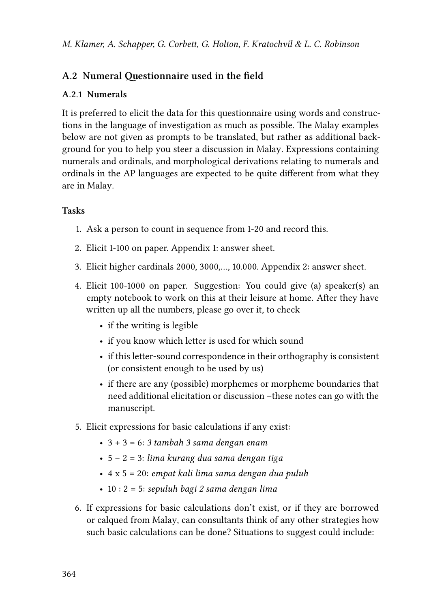#### **A.2 Numeral Questionnaire used in the field**

#### **A.2.1 Numerals**

It is preferred to elicit the data for this questionnaire using words and constructions in the language of investigation as much as possible. The Malay examples below are not given as prompts to be translated, but rather as additional background for you to help you steer a discussion in Malay. Expressions containing numerals and ordinals, and morphological derivations relating to numerals and ordinals in the AP languages are expected to be quite different from what they are in Malay.

#### **Tasks**

- 1. Ask a person to count in sequence from 1-20 and record this.
- 2. Elicit 1-100 on paper. Appendix 1: answer sheet.
- 3. Elicit higher cardinals 2000, 3000,…, 10.000. Appendix 2: answer sheet.
- 4. Elicit 100-1000 on paper. Suggestion: You could give (a) speaker(s) an empty notebook to work on this at their leisure at home. After they have written up all the numbers, please go over it, to check
	- if the writing is legible
	- if you know which letter is used for which sound
	- if this letter-sound correspondence in their orthography is consistent (or consistent enough to be used by us)
	- if there are any (possible) morphemes or morpheme boundaries that need additional elicitation or discussion –these notes can go with the manuscript.
- 5. Elicit expressions for basic calculations if any exist:
	- 3 + 3 = 6: *3 tambah 3 sama dengan enam*
	- 5 2 = 3: *lima kurang dua sama dengan tiga*
	- 4 x 5 = 20: *empat kali lima sama dengan dua puluh*
	- 10 : 2 = 5: *sepuluh bagi 2 sama dengan lima*
- 6. If expressions for basic calculations don't exist, or if they are borrowed or calqued from Malay, can consultants think of any other strategies how such basic calculations can be done? Situations to suggest could include: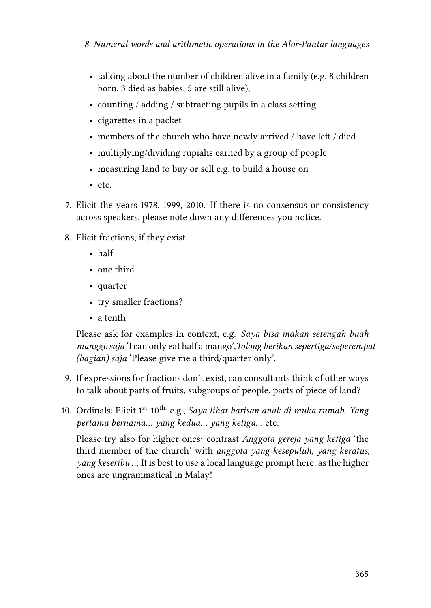- *8 Numeral words and arithmetic operations in the Alor-Pantar languages*
	- talking about the number of children alive in a family (e.g. 8 children born, 3 died as babies, 5 are still alive),
	- counting / adding / subtracting pupils in a class setting
	- cigarettes in a packet
	- members of the church who have newly arrived / have left / died
	- multiplying/dividing rupiahs earned by a group of people
	- measuring land to buy or sell e.g. to build a house on
	- etc.
- 7. Elicit the years 1978, 1999, 2010. If there is no consensus or consistency across speakers, please note down any differences you notice.
- 8. Elicit fractions, if they exist
	- half
	- one third
	- quarter
	- try smaller fractions?
	- a tenth

Please ask for examples in context, e.g. *Saya bisa makan setengah buah manggo saja* 'I can only eat half a mango',*Tolong berikan sepertiga/seperempat (bagian) saja* 'Please give me a third/quarter only'.

- 9. If expressions for fractions don't exist, can consultants think of other ways to talk about parts of fruits, subgroups of people, parts of piece of land?
- 10. Ordinals: Elicit 1st-10th. e.g., *Saya lihat barisan anak di muka rumah. Yang pertama bernama… yang kedua… yang ketiga…* etc.

Please try also for higher ones: contrast *Anggota gereja yang ketiga* 'the third member of the church' with *anggota yang kesepuluh, yang keratus, yang keseribu* … It is best to use a local language prompt here, as the higher ones are ungrammatical in Malay!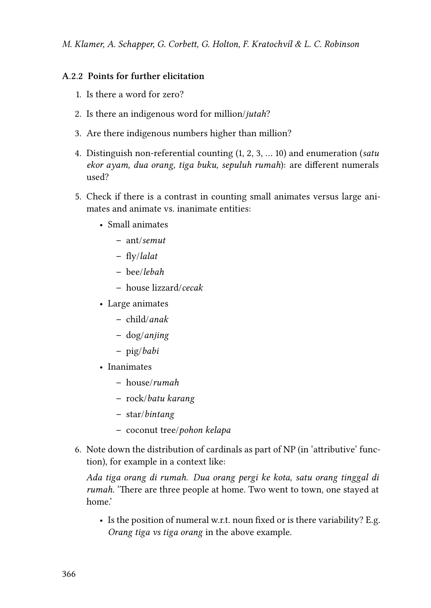#### **A.2.2 Points for further elicitation**

- 1. Is there a word for zero?
- 2. Is there an indigenous word for million/*jutah*?
- 3. Are there indigenous numbers higher than million?
- 4. Distinguish non-referential counting (1, 2, 3, … 10) and enumeration (*satu ekor ayam, dua orang, tiga buku, sepuluh rumah*): are different numerals used?
- 5. Check if there is a contrast in counting small animates versus large animates and animate vs. inanimate entities:
	- Small animates
		- **–** ant/*semut*
		- **–** fly/*lalat*
		- **–** bee/*lebah*
		- **–** house lizzard/*cecak*
	- Large animates
		- **–** child/*anak*
		- **–** dog/*anjing*
		- **–** pig/*babi*
	- Inanimates
		- **–** house/*rumah*
		- **–** rock/*batu karang*
		- **–** star/*bintang*
		- **–** coconut tree/*pohon kelapa*
- 6. Note down the distribution of cardinals as part of NP (in 'attributive' function), for example in a context like:

*Ada tiga orang di rumah. Dua orang pergi ke kota, satu orang tinggal di rumah.* 'There are three people at home. Two went to town, one stayed at home.'

• Is the position of numeral w.r.t. noun fixed or is there variability? E.g. *Orang tiga vs tiga orang* in the above example.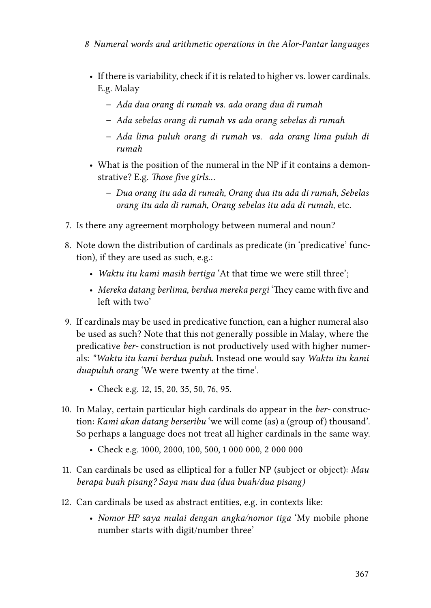- *8 Numeral words and arithmetic operations in the Alor-Pantar languages*
- If there is variability, check if it is related to higher vs. lower cardinals. E.g. Malay
	- **–** *Ada dua orang di rumah vs. ada orang dua di rumah*
	- **–** *Ada sebelas orang di rumah vs ada orang sebelas di rumah*
	- **–** *Ada lima puluh orang di rumah vs. ada orang lima puluh di rumah*
- What is the position of the numeral in the NP if it contains a demonstrative? E.g. *Those five girls…*
	- **–** *Dua orang itu ada di rumah, Orang dua itu ada di rumah, Sebelas orang itu ada di rumah, Orang sebelas itu ada di rumah,* etc.
- 7. Is there any agreement morphology between numeral and noun?
- 8. Note down the distribution of cardinals as predicate (in 'predicative' function), if they are used as such, e.g.:
	- *Waktu itu kami masih bertiga* 'At that time we were still three';
	- *Mereka datang berlima*, *berdua mereka pergi* 'They came with five and left with two'
- 9. If cardinals may be used in predicative function, can a higher numeral also be used as such? Note that this not generally possible in Malay, where the predicative *ber-* construction is not productively used with higher numerals: *\*Waktu itu kami berdua puluh*. Instead one would say *Waktu itu kami duapuluh orang* 'We were twenty at the time'.
	- Check e.g. 12, 15, 20, 35, 50, 76, 95.
- 10. In Malay, certain particular high cardinals do appear in the *ber-* construction: *Kami akan datang berseribu* 'we will come (as) a (group of) thousand'. So perhaps a language does not treat all higher cardinals in the same way.
	- Check e.g. 1000, 2000, 100, 500, 1 000 000, 2 000 000
- 11. Can cardinals be used as elliptical for a fuller NP (subject or object): *Mau berapa buah pisang? Saya mau dua (dua buah/dua pisang)*
- 12. Can cardinals be used as abstract entities, e.g. in contexts like:
	- *Nomor HP saya mulai dengan angka/nomor tiga* 'My mobile phone number starts with digit/number three'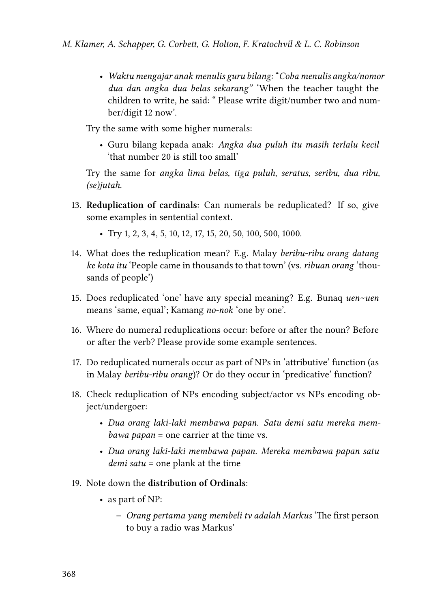• *Waktu mengajar anak menulis guru bilang:* "*Coba menulis angka/nomor dua dan angka dua belas sekarang"* 'When the teacher taught the children to write, he said: " Please write digit/number two and number/digit 12 now'.

Try the same with some higher numerals:

• Guru bilang kepada anak: *Angka dua puluh itu masih terlalu kecil* 'that number 20 is still too small'

Try the same for *angka lima belas, tiga puluh, seratus, seribu, dua ribu, (se)jutah*.

- 13. **Reduplication of cardinals:** Can numerals be reduplicated? If so, give some examples in sentential context.
	- Try 1, 2, 3, 4, 5, 10, 12, 17, 15, 20, 50, 100, 500, 1000.
- 14. What does the reduplication mean? E.g. Malay *beribu-ribu orang datang ke kota itu* 'People came in thousands to that town' (vs. *ribuan orang* 'thousands of people')
- 15. Does reduplicated 'one' have any special meaning? E.g. Bunaq *uen∼uen* means 'same, equal'; Kamang *no-nok* 'one by one'.
- 16. Where do numeral reduplications occur: before or after the noun? Before or after the verb? Please provide some example sentences.
- 17. Do reduplicated numerals occur as part of NPs in 'attributive' function (as in Malay *beribu-ribu orang*)? Or do they occur in 'predicative' function?
- 18. Check reduplication of NPs encoding subject/actor vs NPs encoding object/undergoer:
	- *Dua orang laki-laki membawa papan. Satu demi satu mereka membawa papan* = one carrier at the time vs.
	- *Dua orang laki-laki membawa papan. Mereka membawa papan satu demi satu* = one plank at the time
- 19. Note down the **distribution of Ordinals**:
	- as part of NP:
		- **–** *Orang pertama yang membeli tv adalah Markus* 'The first person to buy a radio was Markus'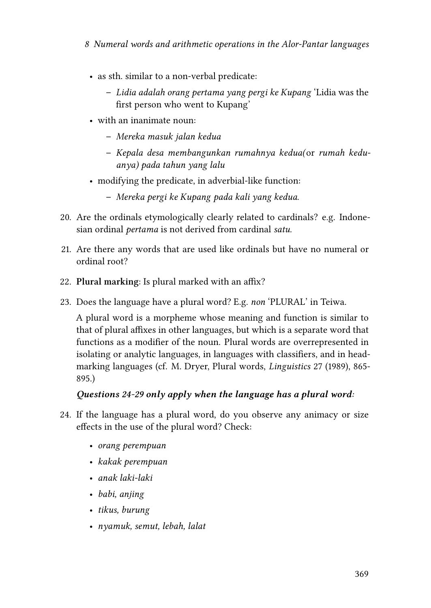- as sth. similar to a non-verbal predicate:
	- **–** *Lidia adalah orang pertama yang pergi ke Kupang* 'Lidia was the first person who went to Kupang'
- with an inanimate noun:
	- **–** *Mereka masuk jalan kedua*
	- **–** *Kepala desa membangunkan rumahnya kedua(*or *rumah keduanya) pada tahun yang lalu*
- modifying the predicate, in adverbial-like function:
	- **–** *Mereka pergi ke Kupang pada kali yang kedua*.
- 20. Are the ordinals etymologically clearly related to cardinals? e.g. Indonesian ordinal *pertama* is not derived from cardinal *satu.*
- 21. Are there any words that are used like ordinals but have no numeral or ordinal root?
- 22. **Plural marking**: Is plural marked with an affix?
- 23. Does the language have a plural word? E.g. *non* 'PLURAL' in Teiwa.

A plural word is a morpheme whose meaning and function is similar to that of plural affixes in other languages, but which is a separate word that functions as a modifier of the noun. Plural words are overrepresented in isolating or analytic languages, in languages with classifiers, and in headmarking languages (cf. M. Dryer, Plural words, *Linguistics* 27 (1989), 865- 895.)

*Questions 24-29 only apply when the language has a plural word:*

- 24. If the language has a plural word, do you observe any animacy or size effects in the use of the plural word? Check:
	- *orang perempuan*
	- *kakak perempuan*
	- *anak laki-laki*
	- *babi, anjing*
	- *tikus, burung*
	- *nyamuk, semut, lebah, lalat*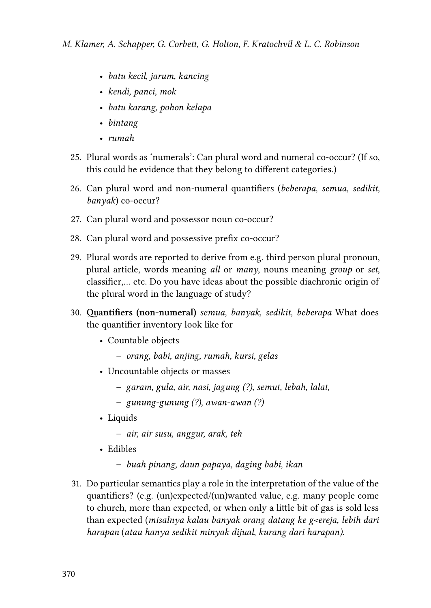- *batu kecil, jarum, kancing*
- *kendi, panci, mok*
- *batu karang, pohon kelapa*
- *bintang*
- *rumah*
- 25. Plural words as 'numerals': Can plural word and numeral co-occur? (If so, this could be evidence that they belong to different categories.)
- 26. Can plural word and non-numeral quantifiers (*beberapa, semua, sedikit, banyak*) co-occur?
- 27. Can plural word and possessor noun co-occur?
- 28. Can plural word and possessive prefix co-occur?
- 29. Plural words are reported to derive from e.g. third person plural pronoun, plural article, words meaning *all* or *many*, nouns meaning *group* or *set*, classifier,… etc. Do you have ideas about the possible diachronic origin of the plural word in the language of study?
- 30. **Quantifiers (non-numeral)** *semua, banyak, sedikit, beberapa* What does the quantifier inventory look like for
	- Countable objects
		- **–** *orang, babi, anjing, rumah, kursi, gelas*
	- Uncountable objects or masses
		- **–** *garam, gula, air, nasi, jagung (?), semut, lebah, lalat,*
		- **–** *gunung-gunung (?), awan-awan (?)*
	- Liquids
		- **–** *air, air susu, anggur, arak, teh*
	- Edibles
		- **–** *buah pinang, daun papaya, daging babi, ikan*
- 31. Do particular semantics play a role in the interpretation of the value of the quantifiers? (e.g. (un)expected/(un)wanted value, e.g. many people come to church, more than expected, or when only a little bit of gas is sold less than expected (*misalnya kalau banyak orang datang ke g<ereja, lebih dari harapan* (*atau hanya sedikit minyak dijual*, *kurang dari harapan).*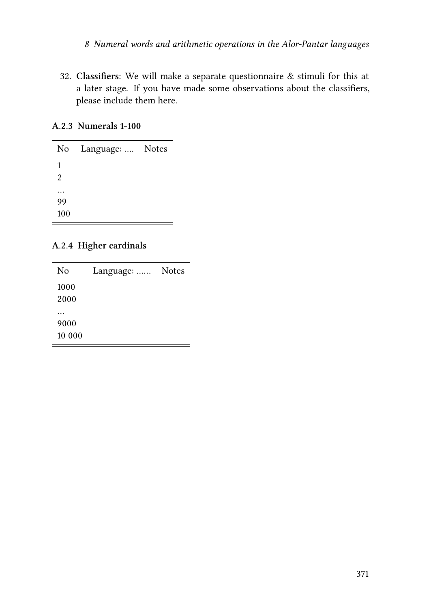- *8 Numeral words and arithmetic operations in the Alor-Pantar languages*
- 32. **Classifiers**: We will make a separate questionnaire & stimuli for this at a later stage. If you have made some observations about the classifiers, please include them here.

**A.2.3 Numerals 1-100**

| No. | Language: | <b>Notes</b> |
|-----|-----------|--------------|
| 1   |           |              |
| 2   |           |              |
|     |           |              |
| 99  |           |              |
| 100 |           |              |

#### **A.2.4 Higher cardinals**

| No     | Language: | <b>Notes</b> |
|--------|-----------|--------------|
| 1000   |           |              |
| 2000   |           |              |
|        |           |              |
| 9000   |           |              |
| 10 000 |           |              |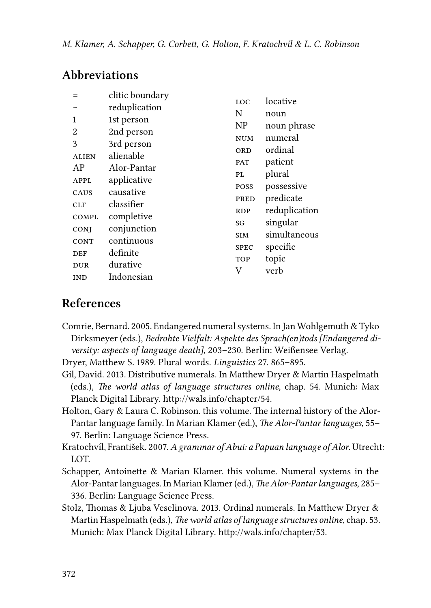## **Abbreviations**

|                       | clitic boundary |                | locative      |
|-----------------------|-----------------|----------------|---------------|
| $\tilde{\phantom{a}}$ | reduplication   | <b>LOC</b>     |               |
| 1                     | 1st person      | N              | noun          |
| 2                     | 2nd person      | N <sub>P</sub> | noun phrase   |
| 3                     | 3rd person      | <b>NUM</b>     | numeral       |
| <b>ALIEN</b>          | alienable       | <b>ORD</b>     | ordinal       |
| AP                    | Alor-Pantar     | PAT            | patient       |
|                       |                 | PL             | plural        |
| APPL                  | applicative     | <b>POSS</b>    | possessive    |
| CAUS                  | causative       | PRED           | predicate     |
| CLF                   | classifier      | <b>RDP</b>     | reduplication |
| COMPL                 | completive      | SG             | singular      |
| CONJ                  | conjunction     | <b>SIM</b>     | simultaneous  |
| CONT                  | continuous      |                | specific      |
| <b>DEF</b>            | definite        | <b>SPEC</b>    |               |
| <b>DUR</b>            | durative        | <b>TOP</b>     | topic         |
| IND                   | Indonesian      | V              | verb          |

## **References**

<span id="page-35-0"></span>Comrie, Bernard. 2005. Endangered numeral systems. In Jan Wohlgemuth & Tyko Dirksmeyer (eds.), *Bedrohte Vielfalt: Aspekte des Sprach(en)tods [Endangered diversity: aspects of language death]*, 203–230. Berlin: Weißensee Verlag.

Dryer, Matthew S. 1989. Plural words. *Linguistics* 27. 865–895.

- Gil, David. 2013. Distributive numerals. In Matthew Dryer & Martin Haspelmath (eds.), *The world atlas of language structures online*, chap. 54. Munich: Max Planck Digital Library. [http://wals.info/chapter/54.](http://wals.info/chapter/54)
- <span id="page-35-2"></span>Holton, Gary & Laura C. Robinson. this volume. The internal history of the Alor-Pantar language family. In Marian Klamer (ed.), *The Alor-Pantar languages*, 55– 97. Berlin: Language Science Press.
- <span id="page-35-4"></span>Kratochvíl, František. 2007. *A grammar of Abui: a Papuan language of Alor*. Utrecht: LOT.
- <span id="page-35-1"></span>Schapper, Antoinette & Marian Klamer. this volume. Numeral systems in the Alor-Pantar languages. In Marian Klamer (ed.), *The Alor-Pantar languages*, 285– 336. Berlin: Language Science Press.
- <span id="page-35-3"></span>Stolz, Thomas & Ljuba Veselinova. 2013. Ordinal numerals. In Matthew Dryer & Martin Haspelmath (eds.), *The world atlas of language structures online*, chap. 53. Munich: Max Planck Digital Library. [http://wals.info/chapter/53.](http://wals.info/chapter/53)